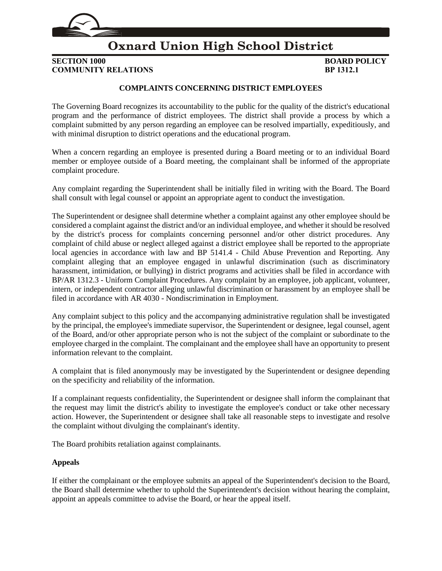

## **Oxnard Union High School District**

**SECTION 1000 BOARD POLICY COMMUNITY RELATIONS BP 1312.1**

### **COMPLAINTS CONCERNING DISTRICT EMPLOYEES**

The Governing Board recognizes its accountability to the public for the quality of the district's educational program and the performance of district employees. The district shall provide a process by which a complaint submitted by any person regarding an employee can be resolved impartially, expeditiously, and with minimal disruption to district operations and the educational program.

When a concern regarding an employee is presented during a Board meeting or to an individual Board member or employee outside of a Board meeting, the complainant shall be informed of the appropriate complaint procedure.

Any complaint regarding the Superintendent shall be initially filed in writing with the Board. The Board shall consult with legal counsel or appoint an appropriate agent to conduct the investigation.

The Superintendent or designee shall determine whether a complaint against any other employee should be considered a complaint against the district and/or an individual employee, and whether it should be resolved by the district's process for complaints concerning personnel and/or other district procedures. Any complaint of child abuse or neglect alleged against a district employee shall be reported to the appropriate local agencies in accordance with law and BP 5141.4 - Child Abuse Prevention and Reporting. Any complaint alleging that an employee engaged in unlawful discrimination (such as discriminatory harassment, intimidation, or bullying) in district programs and activities shall be filed in accordance with BP/AR 1312.3 - Uniform Complaint Procedures. Any complaint by an employee, job applicant, volunteer, intern, or independent contractor alleging unlawful discrimination or harassment by an employee shall be filed in accordance with AR 4030 - Nondiscrimination in Employment.

Any complaint subject to this policy and the accompanying administrative regulation shall be investigated by the principal, the employee's immediate supervisor, the Superintendent or designee, legal counsel, agent of the Board, and/or other appropriate person who is not the subject of the complaint or subordinate to the employee charged in the complaint. The complainant and the employee shall have an opportunity to present information relevant to the complaint.

A complaint that is filed anonymously may be investigated by the Superintendent or designee depending on the specificity and reliability of the information.

If a complainant requests confidentiality, the Superintendent or designee shall inform the complainant that the request may limit the district's ability to investigate the employee's conduct or take other necessary action. However, the Superintendent or designee shall take all reasonable steps to investigate and resolve the complaint without divulging the complainant's identity.

The Board prohibits retaliation against complainants.

#### **Appeals**

If either the complainant or the employee submits an appeal of the Superintendent's decision to the Board, the Board shall determine whether to uphold the Superintendent's decision without hearing the complaint, appoint an appeals committee to advise the Board, or hear the appeal itself.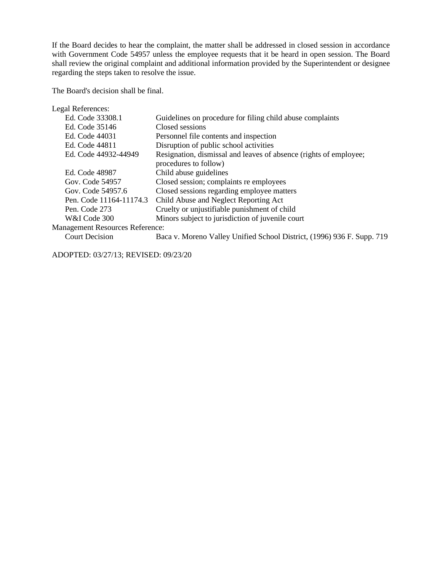If the Board decides to hear the complaint, the matter shall be addressed in closed session in accordance with Government Code 54957 unless the employee requests that it be heard in open session. The Board shall review the original complaint and additional information provided by the Superintendent or designee regarding the steps taken to resolve the issue.

The Board's decision shall be final.

| Legal References:                      |                                                                                            |
|----------------------------------------|--------------------------------------------------------------------------------------------|
| Ed. Code 33308.1                       | Guidelines on procedure for filing child abuse complaints                                  |
| Ed. Code 35146                         | Closed sessions                                                                            |
| Ed. Code 44031                         | Personnel file contents and inspection                                                     |
| Ed. Code 44811                         | Disruption of public school activities                                                     |
| Ed. Code 44932-44949                   | Resignation, dismissal and leaves of absence (rights of employee;<br>procedures to follow) |
| Ed. Code 48987                         | Child abuse guidelines                                                                     |
| Gov. Code 54957                        | Closed session; complaints re employees                                                    |
| Gov. Code 54957.6                      | Closed sessions regarding employee matters                                                 |
| Pen. Code 11164-11174.3                | Child Abuse and Neglect Reporting Act                                                      |
| Pen. Code 273                          | Cruelty or unjustifiable punishment of child                                               |
| W&I Code 300                           | Minors subject to jurisdiction of juvenile court                                           |
| <b>Management Resources Reference:</b> |                                                                                            |
| <b>Court Decision</b>                  | Baca v. Moreno Valley Unified School District, (1996) 936 F. Supp. 719                     |
|                                        |                                                                                            |

ADOPTED: 03/27/13; REVISED: 09/23/20